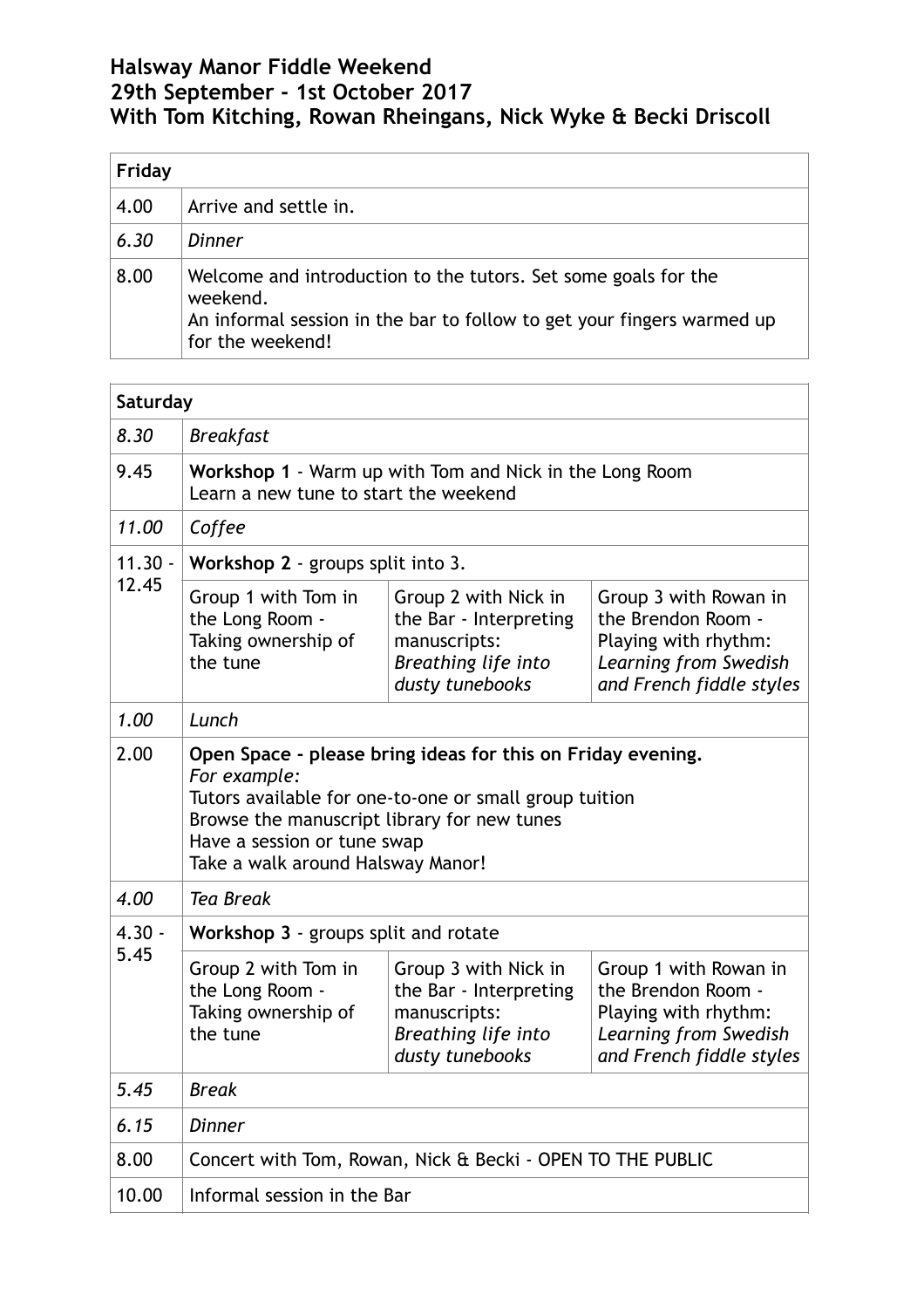## **Halsway Manor Fiddle Weekend 29th September - 1st October 2017 With Tom Kitching, Rowan Rheingans, Nick Wyke & Becki Driscoll**

| Friday |                                                                                                                                                                          |  |  |  |
|--------|--------------------------------------------------------------------------------------------------------------------------------------------------------------------------|--|--|--|
| 4.00   | Arrive and settle in.                                                                                                                                                    |  |  |  |
| 6.30   | Dinner                                                                                                                                                                   |  |  |  |
| 8.00   | Welcome and introduction to the tutors. Set some goals for the<br>weekend.<br>An informal session in the bar to follow to get your fingers warmed up<br>for the weekend! |  |  |  |

| Saturday           |                                                                                                                                                                                                                                                          |                                                                                                          |                                                                                                                          |  |  |  |
|--------------------|----------------------------------------------------------------------------------------------------------------------------------------------------------------------------------------------------------------------------------------------------------|----------------------------------------------------------------------------------------------------------|--------------------------------------------------------------------------------------------------------------------------|--|--|--|
| 8.30               | <b>Breakfast</b>                                                                                                                                                                                                                                         |                                                                                                          |                                                                                                                          |  |  |  |
| 9.45               | Workshop 1 - Warm up with Tom and Nick in the Long Room<br>Learn a new tune to start the weekend                                                                                                                                                         |                                                                                                          |                                                                                                                          |  |  |  |
| 11.00              | Coffee                                                                                                                                                                                                                                                   |                                                                                                          |                                                                                                                          |  |  |  |
| $11.30 -$<br>12.45 | Workshop 2 - groups split into 3.                                                                                                                                                                                                                        |                                                                                                          |                                                                                                                          |  |  |  |
|                    | Group 1 with Tom in<br>the Long Room -<br>Taking ownership of<br>the tune                                                                                                                                                                                | Group 2 with Nick in<br>the Bar - Interpreting<br>manuscripts:<br>Breathing life into<br>dusty tunebooks | Group 3 with Rowan in<br>the Brendon Room -<br>Playing with rhythm:<br>Learning from Swedish<br>and French fiddle styles |  |  |  |
| 1.00               | Lunch                                                                                                                                                                                                                                                    |                                                                                                          |                                                                                                                          |  |  |  |
| 2.00               | Open Space - please bring ideas for this on Friday evening.<br>For example:<br>Tutors available for one-to-one or small group tuition<br>Browse the manuscript library for new tunes<br>Have a session or tune swap<br>Take a walk around Halsway Manor! |                                                                                                          |                                                                                                                          |  |  |  |
| 4.00               | <b>Tea Break</b>                                                                                                                                                                                                                                         |                                                                                                          |                                                                                                                          |  |  |  |
| $4.30 -$           | Workshop 3 - groups split and rotate                                                                                                                                                                                                                     |                                                                                                          |                                                                                                                          |  |  |  |
| 5.45               | Group 2 with Tom in<br>the Long Room -<br>Taking ownership of<br>the tune                                                                                                                                                                                | Group 3 with Nick in<br>the Bar - Interpreting<br>manuscripts:<br>Breathing life into<br>dusty tunebooks | Group 1 with Rowan in<br>the Brendon Room -<br>Playing with rhythm:<br>Learning from Swedish<br>and French fiddle styles |  |  |  |
| 5.45               | Break                                                                                                                                                                                                                                                    |                                                                                                          |                                                                                                                          |  |  |  |
| 6.15               | <b>Dinner</b>                                                                                                                                                                                                                                            |                                                                                                          |                                                                                                                          |  |  |  |
| 8.00               | Concert with Tom, Rowan, Nick & Becki - OPEN TO THE PUBLIC                                                                                                                                                                                               |                                                                                                          |                                                                                                                          |  |  |  |
| 10.00              | Informal session in the Bar                                                                                                                                                                                                                              |                                                                                                          |                                                                                                                          |  |  |  |